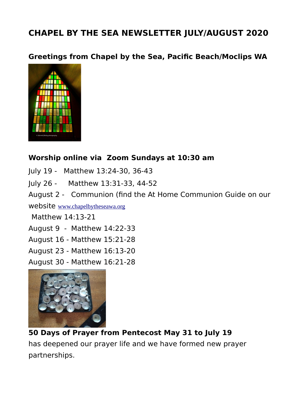# **CHAPEL BY THE SEA NEWSLETTER JULY/AUGUST 2020**

**Greetings from Chapel by the Sea, Pacific Beach/Moclips WA**



#### **Worship online via Zoom Sundays at 10:30 am**

July 19 - Matthew 13:24-30, 36-43

July 26 - Matthew 13:31-33, 44-52

August 2 - Communion (find the At Home Communion Guide on our

website [www.chapelbytheseawa.org](http://www.chapelbytheseawa.org/)

Matthew 14:13-21

August 9 - Matthew 14:22-33

August 16 - Matthew 15:21-28

August 23 - Matthew 16:13-20

August 30 - Matthew 16:21-28



**50 Days of Prayer from Pentecost May 31 to July 19** has deepened our prayer life and we have formed new prayer partnerships.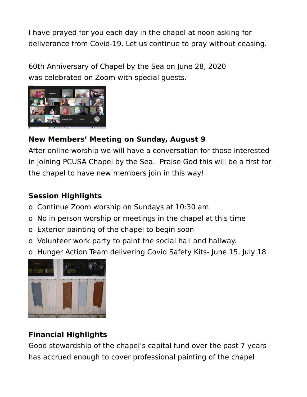I have prayed for you each day in the chapel at noon asking for deliverance from Covid-19. Let us continue to pray without ceasing.

60th Anniversary of Chapel by the Sea on June 28, 2020 was celebrated on Zoom with special guests.



### **New Members' Meeting on Sunday, August 9**

After online worship we will have a conversation for those interested in joining PCUSA Chapel by the Sea. Praise God this will be a first for the chapel to have new members join in this way!

#### **Session Highlights**

- o Continue Zoom worship on Sundays at 10:30 am
- o No in person worship or meetings in the chapel at this time
- o Exterior painting of the chapel to begin soon
- o Volunteer work party to paint the social hall and hallway.
- o Hunger Action Team delivering Covid Safety Kits- June 15, July 18



## **Financial Highlights**

Good stewardship of the chapel's capital fund over the past 7 years has accrued enough to cover professional painting of the chapel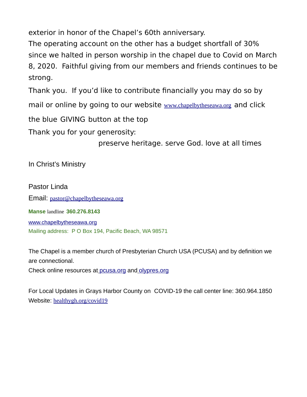exterior in honor of the Chapel's 60th anniversary.

The operating account on the other has a budget shortfall of 30% since we halted in person worship in the chapel due to Covid on March 8, 2020. Faithful giving from our members and friends continues to be strong.

Thank you. If you'd like to contribute financially you may do so by

mail or online by going to our website [www.chapelbytheseawa.org](http://www.chapelbytheseawa.org/) and click

the blue GIVING button at the top

Thank you for your generosity:

preserve heritage. serve God. love at all times

In Christ's Ministry

Pastor Linda Email: [pastor@chapelbytheseawa.org](mailto:pastor@chapelbytheseawa.org) **Manse** landline **360.276.8143** [www.chapelbytheseawa.org](http://www.chapelbytheseawa.org/) Mailing address: P O Box 194, Pacific Beach, WA 98571

The Chapel is a member church of Presbyterian Church USA (PCUSA) and by definition we are connectional.

Check online resources at [pcusa.org](http://pcusa.org/) and [olypres.org](http://olypres.org/)

For Local Updates in Grays Harbor County on COVID-19 the call center line: 360.964.1850 Website: [healthygh.org/covid19](http://healthygh.org/covid19)